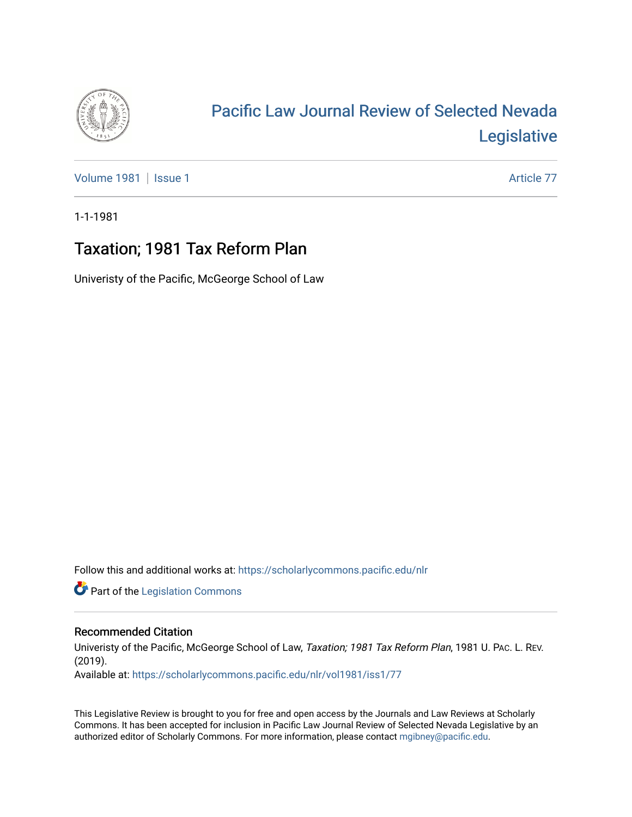

# [Pacific Law Journal Review of Selected Nevada](https://scholarlycommons.pacific.edu/nlr)  [Legislative](https://scholarlycommons.pacific.edu/nlr)

[Volume 1981](https://scholarlycommons.pacific.edu/nlr/vol1981) | [Issue 1](https://scholarlycommons.pacific.edu/nlr/vol1981/iss1) Article 77

1-1-1981

# Taxation; 1981 Tax Reform Plan

Univeristy of the Pacific, McGeorge School of Law

Follow this and additional works at: [https://scholarlycommons.pacific.edu/nlr](https://scholarlycommons.pacific.edu/nlr?utm_source=scholarlycommons.pacific.edu%2Fnlr%2Fvol1981%2Fiss1%2F77&utm_medium=PDF&utm_campaign=PDFCoverPages) 

**Part of the [Legislation Commons](http://network.bepress.com/hgg/discipline/859?utm_source=scholarlycommons.pacific.edu%2Fnlr%2Fvol1981%2Fiss1%2F77&utm_medium=PDF&utm_campaign=PDFCoverPages)** 

## Recommended Citation

Univeristy of the Pacific, McGeorge School of Law, Taxation; 1981 Tax Reform Plan, 1981 U. PAc. L. REV. (2019).

Available at: [https://scholarlycommons.pacific.edu/nlr/vol1981/iss1/77](https://scholarlycommons.pacific.edu/nlr/vol1981/iss1/77?utm_source=scholarlycommons.pacific.edu%2Fnlr%2Fvol1981%2Fiss1%2F77&utm_medium=PDF&utm_campaign=PDFCoverPages)

This Legislative Review is brought to you for free and open access by the Journals and Law Reviews at Scholarly Commons. It has been accepted for inclusion in Pacific Law Journal Review of Selected Nevada Legislative by an authorized editor of Scholarly Commons. For more information, please contact [mgibney@pacific.edu](mailto:mgibney@pacific.edu).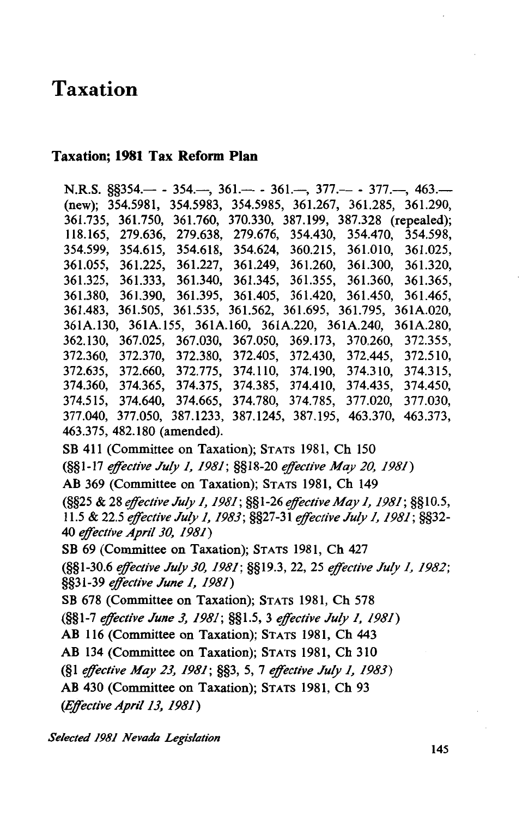# Taxation

### Taxation; 1981 Tax Reform Plan

N.R.S.  $\S$ \$354.— - 354.—, 361.— - 361.—, 377.— - 377.—, 463.— (new); 354.5981, 354.5983, 354.5985, 361.267, 361.285, 361.290, 361.735, 361.750, 361.760, 370.330, 387.199, 387.328 (repealed); 118.165, 279.636, 279.638, 279.676, 354.430, 354.470, 354.598, 354.599, 354.615, 354.618, 354.624, 360.215, 361.010, 361.025, 361.055, 361.225, 361.227, 361.249, 361.260, 361.300, 361.320, 361.325, 361.333, 361.340, 361.345, 361.355, 361.360, 361.365, 361.380, 361.390, 361.395, 361.405, 361.420, 361.450, 361.465, 361.483, 361.505, 361.535, 361.562, 361.695, 361.795, 361A.020, 361A.l30, 361A.155, 361A.160, 361A.220, 361A.240, 361A.280, 362.130, 367.025, 367.030, 367.050, 369.173, 370.260, 372.355, 372.360, 372.370, 372.380, 372.405, 372.430, 372.445, 372.510, 372.635, 372.660, 372.775, 374.110, 374.190, 374.310, 374.315, 374.360, 374.365, 374.375, 374.385, 374.410, 374.435, 374.450, 374.515, 374.640, 374.665, 374.780, 374.785, 377.020, 377.030, 377.040, 377.050, 387.1233, 387.1245, 387.195, 463.370, 463.373, 463.375, 482.180 (amended). SB 411 (Committee on Taxation); STATS 1981, Ch 150 (§§1-17 *effective July 1, 1981;* §§18-20 *effective May 20, 1981)*  AB 369 (Committee on Taxation); STATS 1981, Ch 149 (§§25 & 28 *effective July 1, 1981;* §§1-26 *effective May 1, 1981;* §§10.5, 11.5 & 22.5 *effective July 1, 1983;* §§27-31 *effective July 1, 1981;* §§32- 40 *effective April 30, 1981)*  SB 69 (Committee on Taxation); STATS 1981, Ch 427 (§§1-30.6 *effective July 30, 1981;* §§19.3, 22, 25 *effective July 1, 1982;*  §§31-39 *effective June 1, 1981)*  SB 678 (Committee on Taxation); STATS 1981, Ch 578 (§§1-7 *effective June 3, 1981;* §§1.5, 3 *effective July 1, 1981)*  AB 116 (Committee on Taxation); STATS 1981, Ch 443 AB 134 (Committee on Taxation); STATS 1981, Ch 310 (§1 *effective May 23, 1981;* §§3, 5, 7 *effective July 1, 1983)*  AB 430 (Committee on Taxation); STATS 1981, Ch 93 *(Effective April 13, 1981)* 

*Selected 1981 Nevada Legislation*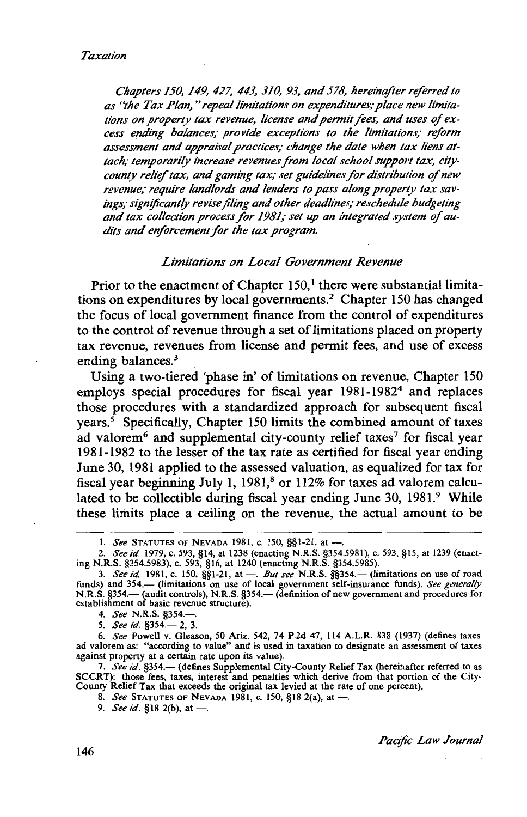*Chapters 150, 149, 427, 443, 310, 93, and 578, hereinafter referred to*  as "the Tax Plan," repeal limitations on expenditures; place new limitations on property tax revenue, license and permit fees, and uses of ex*cess ending balances; provide exceptions to the limitations; reform assessment and appraisal practices; change the date when tax liens attach; temporarily increase revenues from local school support tax, citycounty relief tax, and gaming tax; set guidelines for distribution of new revenue; require landlords and lenders to pass along property tax savings; significantly revise filing and other deadlines; reschedule budgeting*  and tax collection process for 1981; set up an integrated system of au*dits and enforcement for the tax program.* 

#### *Limitations on Local Government Revenue*

Prior to the enactment of Chapter  $150<sup>1</sup>$ , there were substantial limitations on expenditures by local governments.<sup>2</sup> Chapter 150 has changed the focus of local government finance from the control of expenditures to the control of revenue through a set of limitations placed on property tax revenue, revenues from license and permit fees, and use of excess ending balances.<sup>3</sup>

Using a two-tiered 'phase in' of limitations on revenue, Chapter 150 employs special procedures for fiscal year  $1981-1982<sup>4</sup>$  and replaces those procedures with a standardized approach for subsequent fiscal years.<sup> $5$ </sup> Specifically, Chapter 150 limits the combined amount of taxes ad valorem<sup>6</sup> and supplemental city-county relief taxes<sup>7</sup> for fiscal year 1981-1982 to the lesser of the tax rate as certified for fiscal year ending June 30, 1981 applied to the assessed valuation, as equalized for tax for fiscal year beginning July 1, 1981,<sup>8</sup> or 112% for taxes ad valorem calculated to be collectible during fiscal year ending June 30, 1981.<sup>9</sup> While these limits place a ceiling on the revenue, the actual amount to be

5. *See id.* §354.-2, 3.

6. *See* Powell v. Gleason, 50 Ariz. 542, 74 P.2d 47, 114 A.L.R. 838 (1937) (defines taxes ad valorem as: "according to value" and is used in taxation to designate an assessment of taxes against property at a certain rate upon its value).

7. *See id.* §354.- (defines Supplemental City-County Relief Tax (hereinafter referred to as SCCRT): those fees, taxes, interest and penalties which derive from that portion of the City-County Relief Tax that exceeds the original tax levied at the rate of one percent).

8. *See* STATUTES OF NEVADA 1981, c. 150, §18 2(a), at -.

9. *See id.* §18 2(b), at --

*Pacific Law Journal* 

<sup>1.</sup> *See* STATUTES OF NEVADA 1981, c. 150, §§1-21, at --

<sup>2.</sup> *See id.* 1979, c. 593, §14, at 1238 (enacting N.R.S. §354.5981), c. 593, §15, at 1239 (enacting N.R.S. §354.5983), c. 593, §16, at 1240 (enacting N.R.S. §354.5985).

<sup>3.</sup> *See id.* 1981, c. 150, §§1-21, at -. *But see* N.R.S. §§354.- (limitations on use of road funds) and 354.- (limitations on use of local government self-insurance funds). See generally N.R.S. §354.— (audit controls), N.R.S. §354.— (definition of new government and procedures for<br>establishment of basic revenue structure).

<sup>4.</sup> *See* N.R.S. §354.-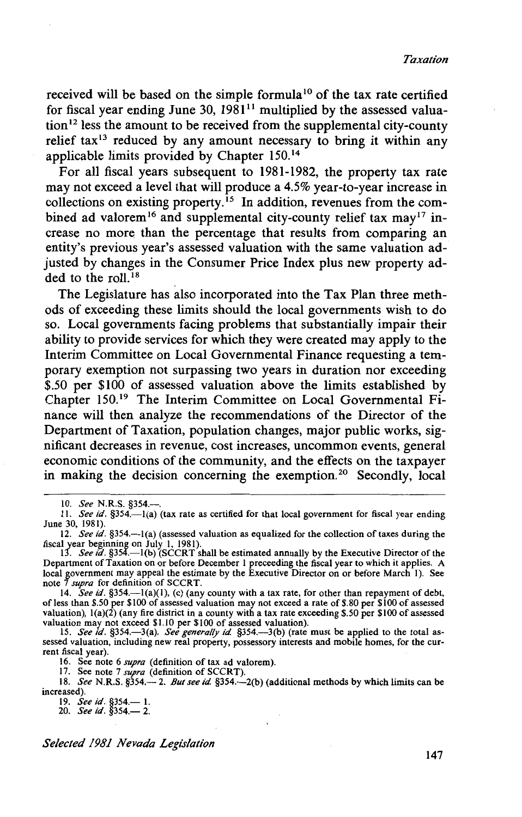received will be based on the simple formula<sup>10</sup> of the tax rate certified for fiscal year ending June 30,  $1981^{11}$  multiplied by the assessed valuation 12 less the amount to be received from the supplemental city-county relief tax<sup>13</sup> reduced by any amount necessary to bring it within any applicable limits provided by Chapter 150. <sup>14</sup>

For all fiscal years subsequent to 1981-1982, the property tax rate may not exceed a level that will produce a 4.5% year-to-year increase in collections on existing property.<sup>15</sup> In addition, revenues from the combined ad valorem<sup>16</sup> and supplemental city-county relief tax may<sup>17</sup> increase no more than the percentage that results from comparing an entity's previous year's assessed valuation with the same valuation adjusted by changes in the Consumer Price Index plus new property added to the roll.<sup>18</sup>

The Legislature has also incorporated into the Tax Plan three methods of exceeding these limits should the local governments wish to do so. Local governments facing problems that substantially impair their ability to provide services for which they were created may apply to the Interim Committee on Local Governmental Finance requesting a temporary exemption not surpassing two years in duration nor exceeding \$.50 per \$100 of assessed valuation above the limits established by Chapter 150.<sup>19</sup> The Interim Committee on Local Governmental Finance will then analyze the recommendations of the Director of the Department of Taxation, population changes, major public works, significant decreases in revenue, cost increases, uncommon events, general economic conditions of the community, and the effects on the taxpayer in making the decision concerning the exemption.20 Secondly, local

16. See note 6 *supra* (definition of tax ad valorem).

17. See note 7 *supra* (definition of SCCRT).

18. *See* N.R.S. §354.— 2. *But see id.* §354.—2(b) (additional methods by which limits can be increased).

19. *See id*. §354.— 1.<br>20. *See id*. §354.— 2.

<sup>10.</sup> *See* N.R.S. §354.-.

<sup>11.</sup> *See id*. §354.--1(a) (tax rate as certified for that local government for fiscal year ending June 30, 1981).

<sup>12.</sup> *See id.* §354.-1(a) (assessed valuation as equalized for the collection of taxes during the fiscal year beginning on July I, 1981). 13. *See* id. §354.-l(b) (SCCRT shall be estimated annually by the Executive Director of the

Department of Taxation on or before December I preceeding the fiscal year to which it applies. A local government may appeal the estimate by the Executive Director on or before March I). See note 7 *supra* for definition of SCCRT.

<sup>14.</sup> *See id*. §354.—1(a)(1), (c) (any county with a tax rate, for other than repayment of debt, of less than \$.50 per \$100 of assessed valuation may not exceed a rate of \$.80 per \$100 of assessed valuation),  $l(a)(2)$  (any fire district in a county with a tax rate exceeding \$.50 per \$100 of assessed valuation may not exceed \$1.10 per \$100 of assessed valuation).<br>15. *See id.* §354.—3(a). *See generally id.* §354.—3(b) (rate must be applied to the total as-

sessed valuation, including new real property, possessory interests and mobile homes, for the current fiscal year).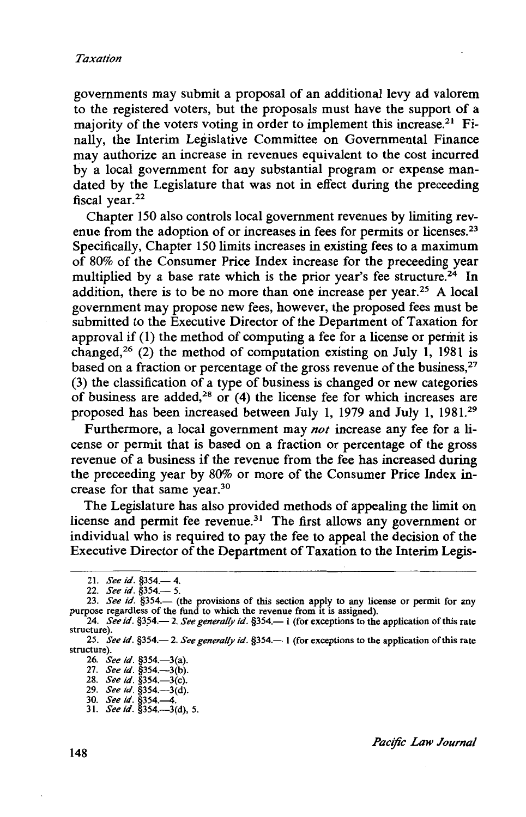governments may submit a proposal of an additional levy ad valorem to the registered voters, but the proposals must have the support of a majority of the voters voting in order to implement this increase.<sup>21</sup> Finally, the Interim Legislative Committee on Governmental Finance may authorize an increase in revenues equivalent to the cost incurred by a local government for any substantial program or expense mandated by the Legislature that was not in effect during the preceeding fiscal year. $22$ 

Chapter 150 also controls local government revenues by limiting revenue from the adoption of or increases in fees for permits or licenses.<sup>23</sup> Specifically, Chapter 150 limits increases in existing fees to a maximum of 80% of the Consumer Price Index increase for the preceeding year multiplied by a base rate which is the prior year's fee structure.<sup>24</sup> In addition, there is to be no more than one increase per year.<sup>25</sup> A local government may propose new fees, however, the proposed fees must be submitted to the Executive Director of the Department of Taxation for approval if (1) the method of computing a fee for a license or permit is changed,<sup>26</sup> (2) the method of computation existing on July 1, 1981 is based on a fraction or percentage of the gross revenue of the business,<sup>27</sup> (3) the classification of a type of business is changed or new categories of business are added,<sup>28</sup> or  $(4)$  the license fee for which increases are proposed has been increased between July 1, 1979 and July 1, 1981.29

Furthermore, a local government may *not* increase any fee for a license or permit that is based on a fraction or percentage of the gross revenue of a business if the revenue from the fee has increased during the preceeding year by 80% or more of the Consumer Price Index increase for that same year.<sup>30</sup>

The Legislature has also provided methods of appealing the limit on license and permit fee revenue.<sup>31</sup> The first allows any government or individual who is required to pay the fee to appeal the decision of the Executive Director of the Department of Taxation to the Interim Legis-

<sup>21.</sup> *See id.* §354.-4.

<sup>22.</sup> *See id.* §354.— 5.

<sup>23.</sup> See id. §354.- (the provisions of this section apply to any license or permit for any purpose regardless of the fund to which the revenue from it is assigned).

<sup>24.</sup> *See id.* §354.— 2. *See generally id.* §354.— 1 (for exceptions to the application of this rate structure).

<sup>25.</sup> *See id.* §354.- 2. *See generally id.* §354.- 1 (for exceptions to the application of this rate structure).

<sup>26.</sup> *See id.* §354.—3(a).

<sup>27.</sup> *See id.* §354.—3(b).

<sup>28.</sup> *See id*. §354.—3(c).

<sup>29.</sup> *See id.* §354.-3(d).

<sup>30.</sup> *See id.* §354.-4. 31. *See id.* §354.-3(d), 5.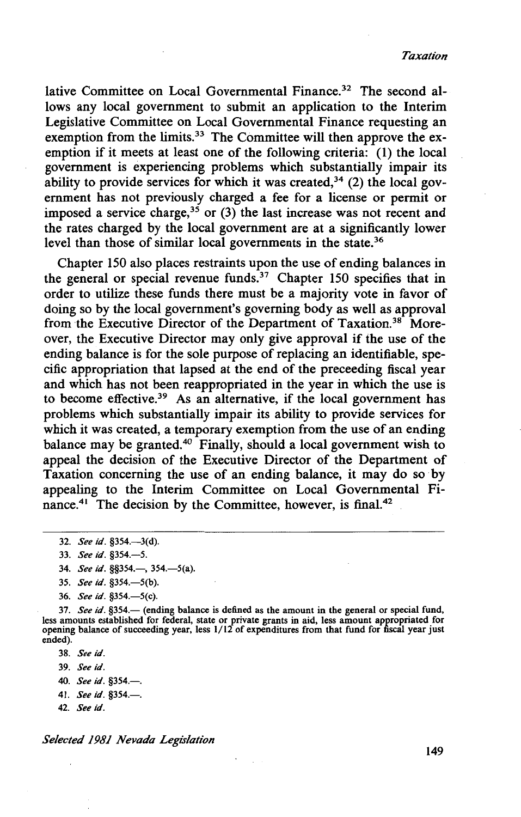lative Committee on Local Governmental Finance.<sup>32</sup> The second allows any local government to submit an application to the Interim Legislative Committee on Local Governmental Finance requesting an exemption from the limits.<sup>33</sup> The Committee will then approve the exemption if it meets at least one of the following criteria: (1) the local government is experiencing problems which substantially impair its ability to provide services for which it was created,  $34$  (2) the local government has not previously charged a fee for a license or permit or imposed a service charge,<sup>35</sup> or  $(3)$  the last increase was not recent and the rates charged by the local government are at a significantly lower level than those of similar local governments in the state.<sup>36</sup>

Chapter 150 also places restraints upon the use of ending balances in the general or special revenue funds.<sup>37</sup> Chapter 150 specifies that in order to utilize these funds there must be a majority vote in favor of doing so by the local government's governing body as well as approval from the Executive Director of the Department of Taxation.38 Moreover, the Executive Director may only give approval if the use of the ending balance is for the sole purpose of replacing an identifiable, specific appropriation that lapsed at the end of the preceeding fiscal year and which has not been reappropriated in the year in which the use is to become effective.<sup>39</sup> As an alternative, if the local government has problems which substantially impair its ability to provide services for which it was created, a temporary exemption from the use of an ending balance may be granted.<sup>4</sup>° Finally, should a local government wish to appeal the decision of the Executive Director of the Department of Taxation concerning the use of an ending balance, it may do so ·by appealing to the Interim Committee on Local Governmental Finance.<sup>41</sup> The decision by the Committee, however, is final.<sup>42</sup>

36. *See id.* §354.-5(c).

37. See id. §354.- (ending balance is defined as the amount in the general or special fund, less amounts established for federal, state or private grants in aid, less amount appropriated for opening balance of succeeding year, less 1/12 of expenditures from that fund for fiscal year just ended).

- 38. *See id.*
- 39. *Seeid.*
- 40. *See id.* §354.-
- 41. *See id.* §354.-
- 42. *Seeid.*

*Selected 1981 Nevada Legislation* 

149

<sup>32.</sup> *See id.* §354.—3(d).

<sup>33.</sup> *See id.* §354.-5.

<sup>34.</sup> *See id.* §§354.—, 354.—5(a).

<sup>35.</sup> *See id.* §354.-5(b).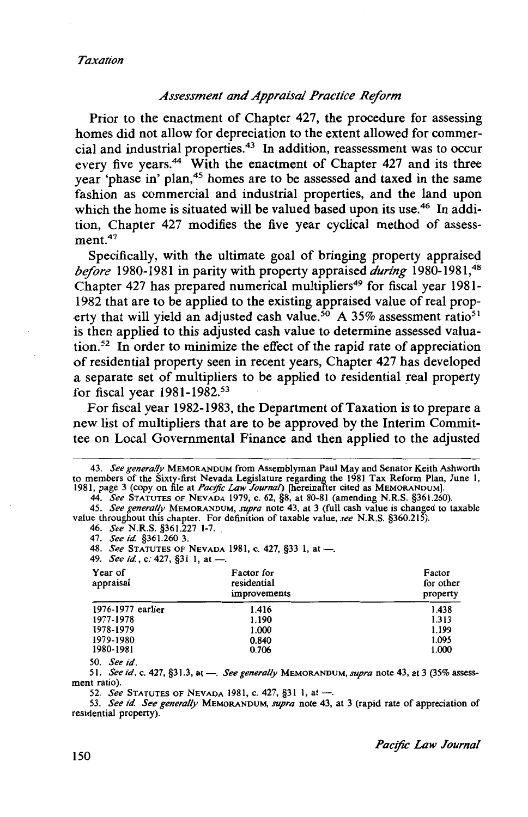#### *Assessment and Appraisal Practice Reform*

Prior to the enactment of Chapter 427, the procedure for assessing homes did not allow for depreciation to the extent allowed for commercial and industrial properties.43 In addition, reassessment was to occur every five years.<sup>44</sup> With the enactment of Chapter 427 and its three year 'phase in' plan, 45 homes are to be assessed and taxed in the same fashion as commercial and industrial properties, and the land upon which the home is situated will be valued based upon its use.<sup>46</sup> In addition, Chapter 427 modifies the five year cyclical method of assessment.<sup>47</sup>

Specifically, with the ultimate goal of bringing property appraised *before* 1980-1981 in parity with property appraised *during* 1980-1981,<sup>48</sup> Chapter 427 has prepared numerical multipliers<sup>49</sup> for fiscal year 1981-1982 that are to be applied to the existing appraised value of real property that will yield an adjusted cash value.<sup>50</sup> A 35% assessment ratio<sup>51</sup> is then applied to this adjusted cash value to determine assessed valuation. 52 In order to minimize the effect of the rapid rate of appreciation of residential property seen in recent years, Chapter 427 has developed a separate set of multipliers to be applied to residential real property for fiscal year 1981-1982.53

For fiscal year 1982-1983, the Department of Taxation is to prepare a new list of multipliers that are to be approved by the Interim Committee on Local Governmental Finance and then applied to the adjusted

44. *See* STATUTES OF NEVADA 1979, c. 62, §8, at 80-81 (amending N.R.S. §361.260).

45. See generally MEMORANDUM, supra note 43, at 3 (full cash value is changed to taxable value throughout this chapter. For definition of taxable value, see N.R.S. §360.215).<br>46. See N.R.S. §361.227 1-7.

47. *See id.* §361.260 3.

48. *See* STATUTES OF NEVADA 1981, c. 427, §33 1, at -..

49. *See id.*, c. 427, §31 1, at --

| Year of<br>appraisal | Factor for<br>residential<br>improvements | Factor<br>for other<br>property |
|----------------------|-------------------------------------------|---------------------------------|
| 1976-1977 earlier    | 1.416                                     | 1.438                           |
| 1977-1978            | 1.190                                     | 1.313                           |
| 1978-1979            | 1.000                                     | 1.199                           |
| 1979-1980            | 0.840                                     | 1.095                           |
| 1980-1981            | 0.706                                     | 1.000                           |
| $\cdots$             |                                           |                                 |

50. *See id.* 

51. *See id.* c. 427, §31.3, at-. *See generally* MEMORANDUM, *supra* note 43, at 3 (35% assessment ratio).

52. *See* STATUTES OF NEVADA 1981, c. 427, §31 1, at ---.

53. *See id. See generally* MEMORANDUM, *supra* note 43, at 3 (rapid rate of appreciation of residential property).

<sup>43.</sup> *See generally* MEMORANDUM from Assemblyman Paul May and Senator Keith Ashworth to members of the Sixty-first Nevada Legislature regarding the 1981 Tax Reform Plan, June 1, 1981, page 3 (copy on file at *Pac(fic Law Journal)* [hereinafter cited as MEMORANDUM).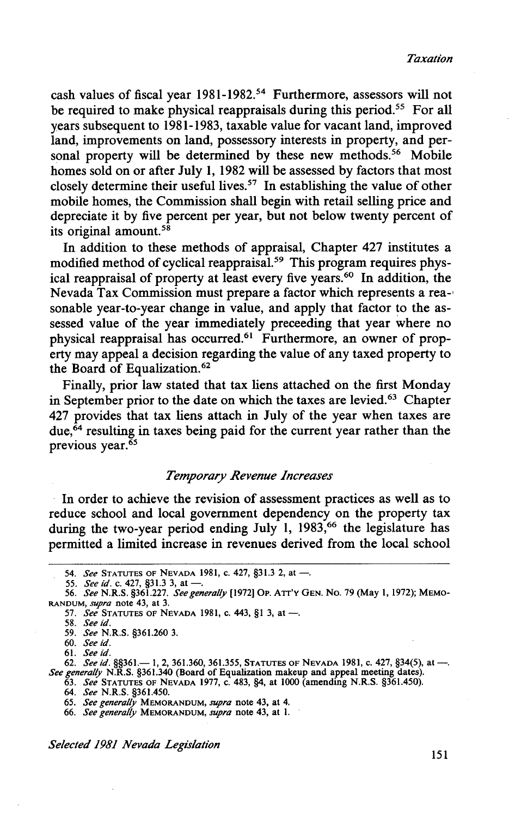cash values of fiscal year 1981-1982.54 Furthermore, assessors will not be required to make physical reappraisals during this period.<sup>55</sup> For all years subsequent to 1981-1983, taxable value for vacant land, improved land, improvements on land, possessory interests in property, and personal property will be determined by these new methods.<sup>56</sup> Mobile homes sold on or after July 1, 1982 will be assessed by factors that most closely determine their useful lives.<sup>57</sup> In establishing the value of other mobile homes, the Commission shall begin with retail selling price and depreciate it by five percent per year, but not below twenty percent of its original amount. $5\overline{8}$ 

In addition to these methods of appraisal, Chapter 427 institutes a modified method of cyclical reappraisal.<sup>59</sup> This program requires physical reappraisal of property at least every five years.<sup>60</sup> In addition, the Nevada Tax Commission must prepare a factor which represents a rea-' sonable year-to-year change in value, and apply that factor to the assessed value of the year immediately preceeding that year where no physical reappraisal has occurred.61 Furthermore, an owner of property may appeal a decision regarding the value of any taxed property to the Board of Equalization.<sup>62</sup>

Finally, prior law stated that tax liens attached on the first Monday in September prior to the date on which the taxes are levied.<sup>63</sup> Chapter 427 provides that tax liens attach in July of the year when taxes are due,  $64$  resulting in taxes being paid for the current year rather than the previous year. $\overline{65}$ 

### *Temporary Revenue Increases*

In order to achieve the revision of assessment practices as well as to reduce school and local government dependency on the property tax during the two-year period ending July 1, 1983,<sup>66</sup> the legislature has permitted a limited increase in revenues derived from the local school

66. *See generally* MEMORANDUM, *supra* note 43, at 1.

*Selected 1981 Nevada Legislation* 151

<sup>54.</sup> *See* STATUTES OF NEVADA 1981, c. 427, §31.3 2, at -.

<sup>55.</sup> *See id.* c. 427, §31.3 3, at-. 56. *See* N.R.S. §361.227. *See generally* [1972) OP. ATT'Y GEN. No. 79 {May 1, 1972); MEMO-RANDUM, *supra* note 43, at 3.

<sup>57.</sup> *See* STATUTES OF NEVADA 1981, c. 443, §1 3, at -..

<sup>58.</sup> *See id.* 

<sup>59.</sup> *See* N.R.S. §361.260 3.

<sup>60.</sup> *See id.* 

<sup>61.</sup> *See id.* 

or. *See id.* §§361.— 1, 2, 361.360, 361.355, STATUTES OF NEVADA 1981, c. 427, §34(5), at --.<br>*See generally* N.R.S. §361.340 (Board of Equalization makeup and appeal meeting dates).

<sup>63.</sup> *See* STATUTES OF NEVADA 1977, C. 483, §4, at 1000 (amending N.R.S. §361.450).

<sup>64.</sup> *See* N.R.S. §361.450.

<sup>65.</sup> *See generally* MEMORANDUM, *supra* note 43, at 4.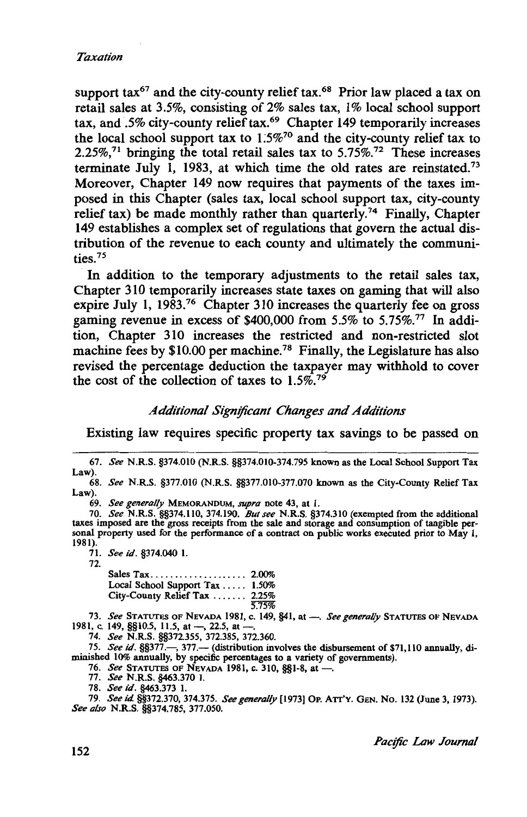support  $\text{tax}^{67}$  and the city-county relief  $\text{tax}^{68}$ . Prior law placed a tax on retail sales at 3.5%, consisting of 2% sales tax, 1% local school support tax, and .5% city-county relief tax.<sup>69</sup> Chapter 149 temporarily increases the local school support tax to  $1.5\%$ <sup>70</sup> and the city-county relief tax to 2.25%,<sup>71</sup> bringing the total retail sales tax to 5.75%.<sup>72</sup> These increases terminate July 1, 1983, at which time the old rates are reinstated.73 Moreover, Chapter 149 now requires that payments of the taxes imposed in this Chapter (sales tax, local school support tax, city-county relief tax) be made monthly rather than quarterly.<sup>74</sup> Finally, Chapter 149 establishes a complex set of regulations that govern the actual distribution of the revenue to each county and ultimately the communities.75

In addition to the temporary adjustments to the retail sales tax, Chapter 310 temporarily increases state taxes on gaming that will also expire July 1, 1983.<sup>76</sup> Chapter 310 increases the quarterly fee on gross gaming revenue in excess of \$400,000 from 5.5% to 5.75%.77 In addition, Chapter 310 increases the restricted and non-restricted slot machine fees by \$10.00 per machine.<sup>78</sup> Finally, the Legislature has also revised the percentage deduction the taxpayer may withhold to cover the cost of the collection of taxes to  $1.5\%$ <sup>79</sup>

#### *Additional Sign!ficant Changes and Additions*

Existing law requires specific property tax savings to be passed on

69. *See generally* MEMORANDUM, *supra* note 43, at 1.

70. *See* N.R.S. §§374.110, 374.190. *But see* N.R.S. §374.310 (exempted from the additional taxes imposed are the gross receipts from the sale and storage and consumption of tangible personal property used for the performance of a contract on public works executed prior to May 1, 1981).

71. *See id.* §374.040 I.

72.

| Local School Support Tax  1.50%       |                |
|---------------------------------------|----------------|
| City-County Relief Tax $\ldots$ 2.25% |                |
|                                       | <i>र नग्जू</i> |

5.75% 73. *See* STATUTES OF NEVADA 1981, c. 149, §41, at-. *See generally* STATUTES OF NEVADA 1981, c. 149,  $\S(10.5, 11.5, at -22.5, at -1)$ 

74. *See* N.R.S. §§372.355, 372.385, 372.360.

75. *See id.* §§377.-, 377.- (distribution involves the disbursement of \$71,110 annually, diminished 10% annually, by specific percentages to a variety of governments).

76. *See* STATUTES OF NEVADA 1981, c. 310, §§1-8, at-.

77. *See* N.R.S. §463.370 I.

78. *See id.* §463.373 I.

79. *See id* §§372.370, 374.375. *See generally* (1973] OP. ATT'Y. GEN. No. 132 (June 3, 1973). *See also* N.R.S. §§374.785, 377.050.

<sup>67.</sup> *See* N.R.S. §374.010 (N.R.S. §§374.010-374.795 known as the Local School Support Tax Law).

<sup>68.</sup> *See* N.R.S. §377.010 (N.R.S. §§377.010-377.070 known as the City-County Relief Tax Law).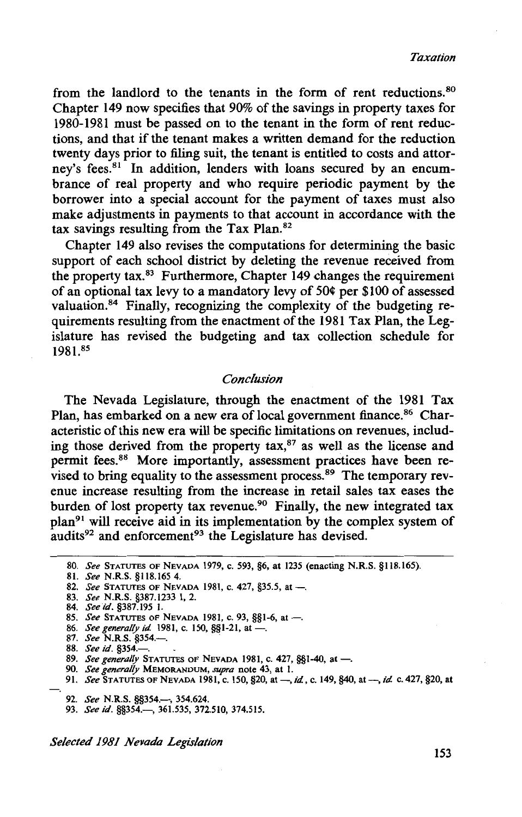from the landlord to the tenants in the form of rent reductions.<sup>80</sup> Chapter 149 now specifies that 90% of the savings in property taxes for 1980-1981 must be passed on to the tenant in the form of rent reductions, and that if the tenant makes a written demand for the reduction twenty days prior to filing suit, the tenant is entitled to costs and attorney's fees.<sup>81</sup> In addition, lenders with loans secured by an encumbrance of real property and who require periodic payment by the borrower into a special account for the payment of taxes must also make adjustments in payments to that account in accordance with the tax savings resulting from the Tax Plan.82

Chapter 149 also revises the computations for determining the basic support of each school district by deleting the revenue received from the property tax. 83 Furthermore, Chapter 149 changes the requirement of an optional tax levy to a mandatory levy of 50¢ per \$100 of assessed valuation.84 Finally, recognizing the complexity of the budgeting requirements resulting from the enactment of the 1981 Tax Plan, the Legislature has revised the budgeting and tax collection schedule for 1981.85

#### *Conclusion*

The Nevada Legislature, through the enactment of the 1981 Tax Plan, has embarked on a new era of local government finance.<sup>86</sup> Characteristic of this new era will be specific limitations on revenues, including those derived from the property tax, $87$  as well as the license and permit fees.<sup>88</sup> More importantly, assessment practices have been revised to bring equality to the assessment process.<sup>89</sup> The temporary revenue increase resulting from the increase in retail sales tax eases the burden of lost property tax revenue.<sup>90</sup> Finally, the new integrated tax plan<sup>91</sup> will receive aid in its implementation by the complex system of audits<sup>92</sup> and enforcement<sup>93</sup> the Legislature has devised.

86. *See generally id.* 1981, c. 150, §§1-21, at -.

88. *See id*. §354.-

- 
- 91. *See* STATUTES OF NEVADA 1981, C. 150, §20, at-, *id,* C. 149, §40, at-, *id* C. 427, §20, at
	- 92. *See* N.R.S. §§354.-, 354.624.
	- 93. *See id.* §§354.-, 361.535, 372.510, 374.515.

*Selected 1981 Nevada Legislation* 

<sup>80.</sup> *See* STATUTES OF NEVADA 1979, c. 593, §6, at 1235 (enacting N.R.S. §118.165).

<sup>81.</sup> *See* N.R.S. §118.165 4.

<sup>82.</sup> *See* STATUTES OF NEVADA 1981, c. 427, §35.5, at -..

<sup>83.</sup> *See* N.R.S. §387.1233 1, 2.

<sup>84.</sup> *Seeid.* §387.195 l.

<sup>85.</sup> *See* STATUTES OF NEVADA 1981, c. 93, §§1-6, at -..

<sup>87.</sup> *See* N.R.S. §354.-. .

<sup>89.</sup> *See a.: §334.*<br>89. *See generally* Statutes of Nevada 1981, c. 427, §§1-40, at —.<br>90. *See generally* Memorandum, *supra* note 43, at 1.